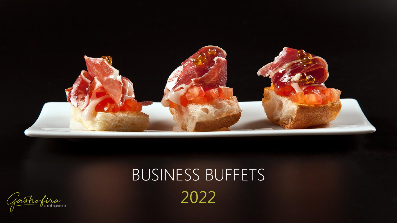

# BUSINESS BUFFETS 2022

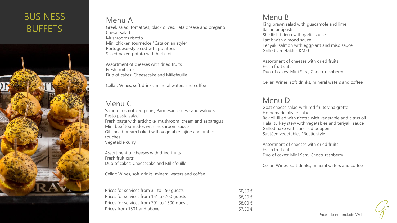# **BUSINESS** BUFFETS



#### Menu A Greek salad, tomatoes, black olives, Feta cheese and oregano Caesar salad Mushrooms risotto Mini chicken tournedos "Catalonian style" Portuguese-style cod with potatoes Sliced baked potato with herbs oil

Assortment of cheeses with dried fruits Fresh fruit cuts Duo of cakes: Cheesecake and Millefeuille

Cellar: Wines, soft drinks, mineral waters and coffee

# Menu C

Salad of osmotized pears, Parmesan cheese and walnuts Pesto pasta salad Fresh pasta with artichoke, mushroom cream and asparagus Mini beef tournedos with mushroom sauce Gilt-head bream baked with vegetable tajine and arabic touches Vegetable curry

Assortment of cheeses with dried fruits Fresh fruit cuts Duo of cakes: Cheesecake and Millefeuille

Cellar: Wines, soft drinks, mineral waters and coffee

| Prices for services from 31 to 150 quests   | 60,50€  |
|---------------------------------------------|---------|
| Prices for services from 151 to 700 quests  | 58,50 € |
| Prices for services from 701 to 1500 quests | 58,00 € |
| Prices from 1501 and above                  | 57,50 € |

# Menu B

King prawn salad with guacamole and lime Italian antipasti Shellfish fideuà with garlic sauce Lamb with almond sauce Teriyaki salmon with eggplant and miso sauce Grilled vegetables KM 0

Assortment of cheeses with dried fruits Fresh fruit cuts Duo of cakes: Mini Sara, Choco-raspberry

Cellar: Wines, soft drinks, mineral waters and coffee

## Menu D

Goat cheese salad with red fruits vinaigrette Homemade olivier salad Ravioli filled with ricotta with vegetable and citrus oil Halal turkey stew with vegetables and teriyaki sauce Grilled hake with stir-fried peppers Sautéed vegetables "Rustic style

Assortment of cheeses with dried fruits Fresh fruit cuts Duo of cakes: Mini Sara, Choco-raspberry

Cellar: Wines, soft drinks, mineral waters and coffee